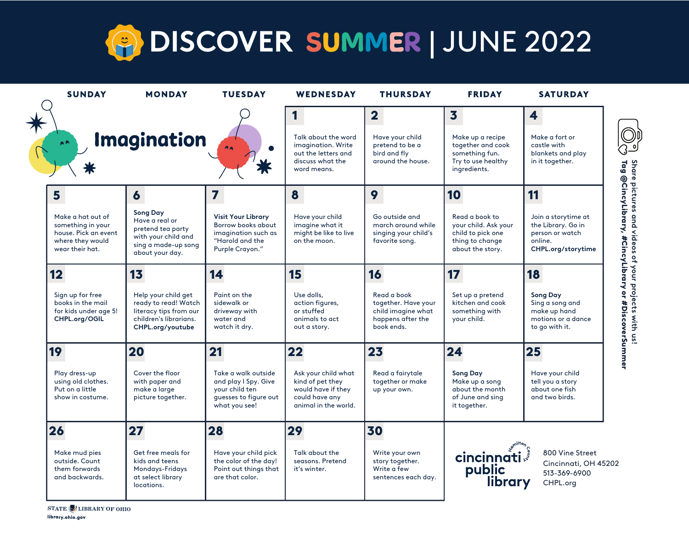

**S h a re pi**

 $\sum\limits_{i=1}^{n}$ 

**ctu**

res and vide

**os o f you**

**r p**

**r ojects with us!** 

| <b>SUNDAY</b>                                                                                         | <b>MONDAY</b>                                                                                                           | <b>TUESDAY</b>                                                                                               | WEDNESDAY                                                                                                | <b>THURSDAY</b>                                                                                    | <b>FRIDAY</b>                                                                                                            | <b>SATURDAY</b>                                                                               |
|-------------------------------------------------------------------------------------------------------|-------------------------------------------------------------------------------------------------------------------------|--------------------------------------------------------------------------------------------------------------|----------------------------------------------------------------------------------------------------------|----------------------------------------------------------------------------------------------------|--------------------------------------------------------------------------------------------------------------------------|-----------------------------------------------------------------------------------------------|
| AR                                                                                                    | <b>Imagination</b>                                                                                                      |                                                                                                              | 1<br>Talk about the word<br>imagination. Write<br>out the letters and<br>discuss what the<br>word means. | $\overline{\mathbf{2}}$<br>Have your child<br>pretend to be a<br>bird and fly<br>around the house. | $\overline{\mathbf{3}}$<br>Make up a recipe<br>together and cook<br>something fun.<br>Try to use healthy<br>ingredients. | 4<br>Make a fort or<br>castle with<br>blankets and play<br>in it together.                    |
| 5 <sup>5</sup>                                                                                        | $\boldsymbol{6}$                                                                                                        | 7                                                                                                            | 8                                                                                                        | 9                                                                                                  | 10                                                                                                                       | 11                                                                                            |
| Make a hat out of<br>something in your<br>house. Pick an event<br>where they would<br>wear their hat. | <b>Song Day</b><br>Have a real or<br>pretend tea party<br>with your child and<br>sing a made-up song<br>about your day. | <b>Visit Your Library</b><br>Borrow books about<br>imagination such as<br>"Harold and the<br>Purple Crayon." | Have your child<br>imagine what it<br>might be like to live<br>on the moon.                              | Go outside and<br>march around while<br>singing your child's<br>favorite song.                     | Read a book to<br>your child. Ask your<br>child to pick one<br>thing to change<br>about the story.                       | Join a storytime at<br>the Library. Go in<br>person or watch<br>online.<br>CHPL.org/storytime |
| 12 <sub>2</sub>                                                                                       | 13                                                                                                                      | 14                                                                                                           | 15                                                                                                       | 16                                                                                                 | 17                                                                                                                       | 18                                                                                            |
| Sign up for free<br>books in the mail<br>for kids under age 5!<br>CHPL.org/OGIL                       | Help your child get<br>ready to read! Watch<br>literacy tips from our<br>children's librarians.<br>CHPL.org/youtube     | Paint on the<br>sidewalk or<br>driveway with<br>water and<br>watch it dry.                                   | Use dolls,<br>action figures,<br>or stuffed<br>animals to act<br>out a story.                            | Read a book<br>together. Have your<br>child imagine what<br>happens after the<br>book ends.        | Set up a pretend<br>kitchen and cook<br>something with<br>your child.                                                    | <b>Song Day</b><br>Sing a song and<br>make up hand<br>motions or a dance<br>to go with it.    |
| 19                                                                                                    | 20                                                                                                                      | 21                                                                                                           | 22                                                                                                       | 23                                                                                                 | 24                                                                                                                       | 25                                                                                            |
| Play dress-up<br>using old clothes.<br>Put on a little<br>show in costume.                            | Cover the floor<br>with paper and<br>make a large<br>picture together.                                                  | Take a walk outside<br>and play I Spy. Give<br>your child ten<br>quesses to figure out<br>what you see!      | Ask your child what<br>kind of pet they<br>would have if they<br>could have any<br>animal in the world.  | Read a fairytale<br>together or make<br>up your own.                                               | <b>Song Day</b><br>Make up a song<br>about the month<br>of June and sing<br>it together.                                 | Have your child<br>tell you a story<br>about one fish<br>and two birds.                       |
| 26                                                                                                    | 27                                                                                                                      | 28                                                                                                           | 29                                                                                                       | 30                                                                                                 |                                                                                                                          |                                                                                               |
| Make mud pies<br>outside. Count<br>them forwards<br>and backwards.                                    | Get free meals for<br>kids and teens<br>Mondays-Fridays<br>at select library<br>locations.                              | Have your child pick<br>the color of the day!<br>Point out things that<br>are that color.                    | Talk about the<br>seasons. Pretend<br>it's winter.                                                       | Write your own<br>story together.<br>Write a few<br>sentences each day.                            | <b>أن cincinnati</b><br>public<br>library                                                                                | 800 Vine Street<br>Cincinnati, OH 45202<br>513-369-6900<br>CHPL.org                           |
|                                                                                                       |                                                                                                                         |                                                                                                              |                                                                                                          |                                                                                                    |                                                                                                                          |                                                                                               |

library.ohio.gov **STATE LIBRARY OF OHIO**